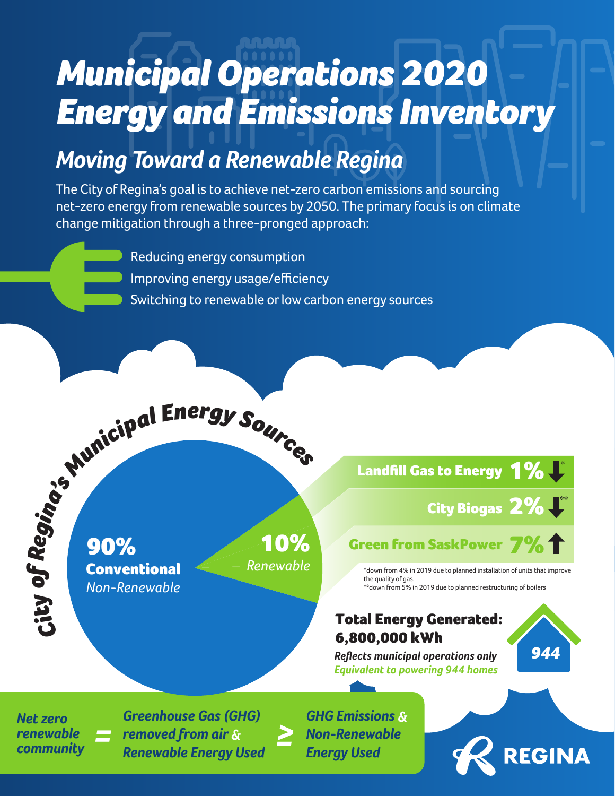# *Municipal Operations 2020 Energy and Emissions Inventory*

## *Moving Toward a Renewable Regina*

The City of Regina's goal is to achieve net-zero carbon emissions and sourcing net-zero energy from renewable sources by 2050. The primary focus is on climate change mitigation through a three-pronged approach:

> Reducing energy consumption Improving energy usage/efficiency Switching to renewable or low carbon energy sources

90% **Conventional** *Non-Renewable*

10% *Renewable*

*≥* 

1%**U** Landfill Gas to Energy

City Biogas  $2\%$   $\overline{\phantom{a}}$ 

*944*

REGINA

### Green from SaskPower  $7\%$

\*down from 4% in 2019 due to planned installation of units that improve the quality of gas. \*\*down from 5% in 2019 due to planned restructuring of boilers

#### Total Energy Generated: 6,800,000 kWh

*Reflects municipal operations only Equivalent to powering 944 homes* 

*Net zero renewable community*

*City*

*of*

*Regina*

*Greenhouse Gas (GHG) removed from air &* **Particular Energy Used**<br> **Renewable Energy Used Energy Used**<br> **Renewable Energy Used Energy Used** 

*'s <sup>M</sup><sup>u</sup>nicipa<sup>l</sup> <sup>E</sup>ne<sup>r</sup>g<sup>y</sup> <sup>S</sup>ource<sup>s</sup>*

*GHG Emissions &*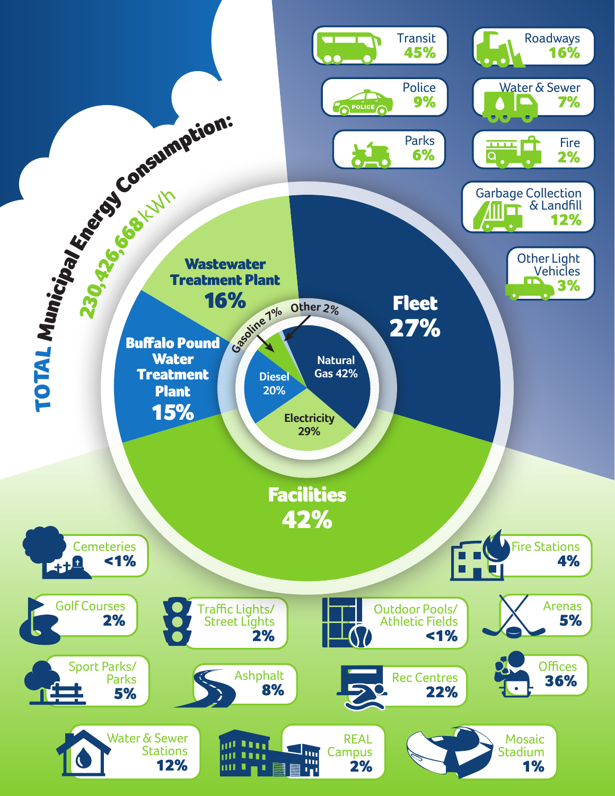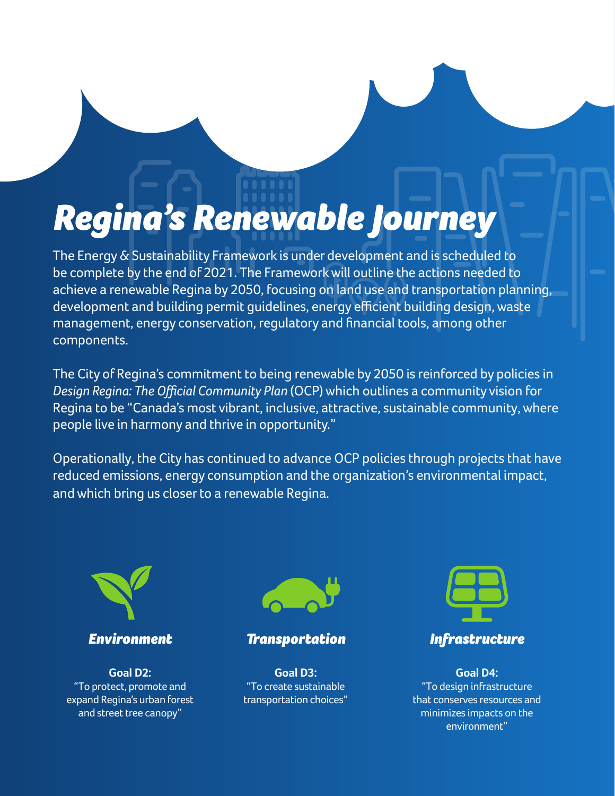## *Regina's Renewable Journey*

The Energy & Sustainability Framework is under development and is scheduled to be complete by the end of 2021. The Framework will outline the actions needed to achieve a renewable Regina by 2050, focusing on land use and transportation planning, development and building permit guidelines, energy efficient building design,waste management, energy conservation, regulatory and financial tools, among other components.

The City of Regina's commitment to being renewable by 2050 is reinforced by policies in *Design Regina: The Official Community Plan* (OCP) which outlines a community vision for Regina to be "Canada's most vibrant, inclusive, attractive, sustainable community, where people live in harmony and thrive in opportunity."

Operationally, the City has continued to advance OCP policies through projects that have reduced emissions, energy consumption and the organization's environmental impact, and which bring us closer to a renewable Regina.



*Environment*

**Goal D2:** "To protect, promote and expand Regina's urban forest and street tree canopy"



#### *Transportation*

**Goal D3:** "To create sustainable transportation choices"



**Goal D4:** "To design infrastructure that conserves resources and minimizes impacts on the environment"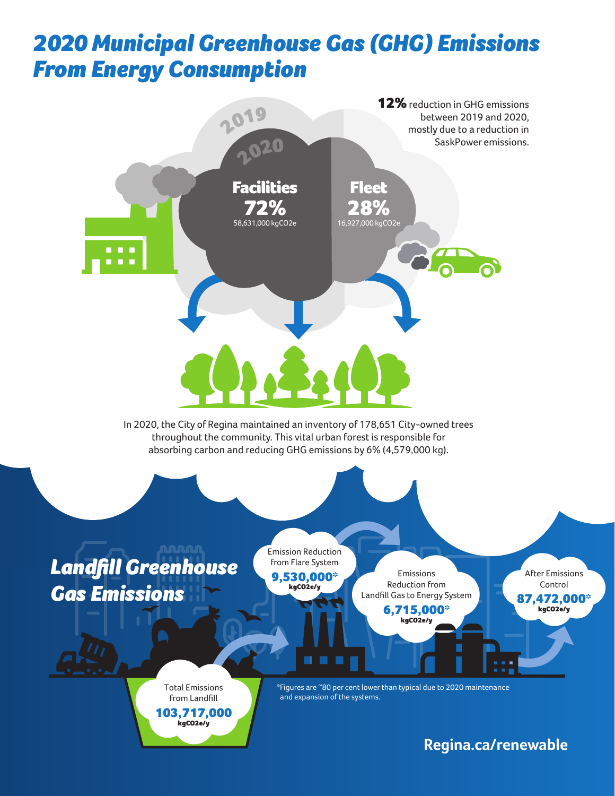## *2020 Municipal Greenhouse Gas (GHG) Emissions From Energy Consumption*



**Regina.ca/renewable**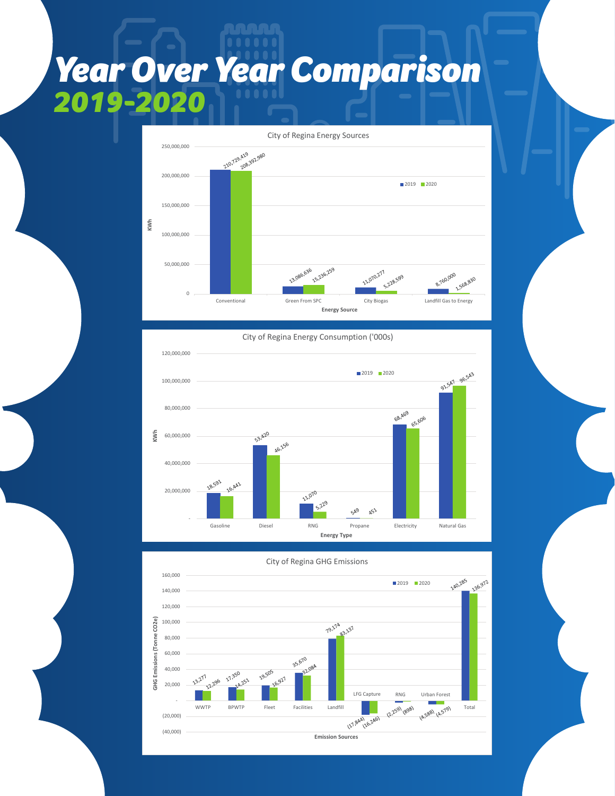## *Year Over Year Comparison 2019-2020*



City of Regina Energy Consumption ('000s) 120,000,000 93,547 96,543 ■2019 2020 100,000,000 80,000,000 68, 469 65,606 53, 420 **KWh** 60,000,000 46,156 40,000,000 18,591 16,441 11.070 20,000,000  $5,229$ **SA9**  $A5^2$  - Gasoline Diesel RNG Propane Electricity Natural Gas **Energy Type**



City of Regina GHG Emissions